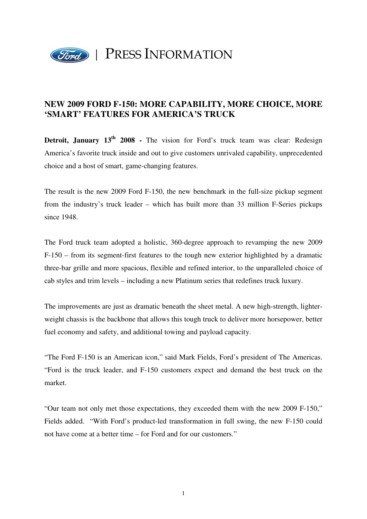

## **NEW 2009 FORD F-150: MORE CAPABILITY, MORE CHOICE, MORE 'SMART' FEATURES FOR AMERICA'S TRUCK**

**Detroit, January 13<sup>th</sup> 2008 -** The vision for Ford's truck team was clear: Redesign America's favorite truck inside and out to give customers unrivaled capability, unprecedented choice and a host of smart, game-changing features.

The result is the new 2009 Ford F-150, the new benchmark in the full-size pickup segment from the industry's truck leader – which has built more than 33 million F-Series pickups since 1948.

The Ford truck team adopted a holistic, 360-degree approach to revamping the new 2009 F-150 – from its segment-first features to the tough new exterior highlighted by a dramatic three-bar grille and more spacious, flexible and refined interior, to the unparalleled choice of cab styles and trim levels – including a new Platinum series that redefines truck luxury.

The improvements are just as dramatic beneath the sheet metal. A new high-strength, lighterweight chassis is the backbone that allows this tough truck to deliver more horsepower, better fuel economy and safety, and additional towing and payload capacity.

"The Ford F-150 is an American icon," said Mark Fields, Ford's president of The Americas. "Ford is the truck leader, and F-150 customers expect and demand the best truck on the market.

"Our team not only met those expectations, they exceeded them with the new 2009 F-150," Fields added. "With Ford's product-led transformation in full swing, the new F-150 could not have come at a better time – for Ford and for our customers."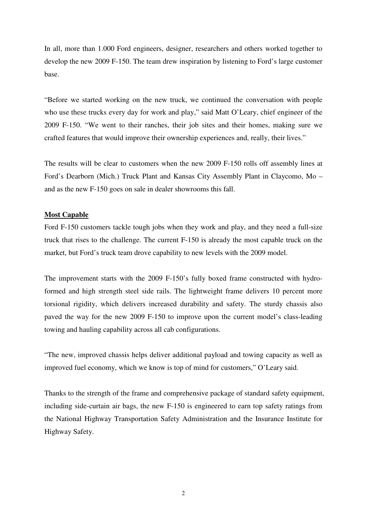In all, more than 1.000 Ford engineers, designer, researchers and others worked together to develop the new 2009 F-150. The team drew inspiration by listening to Ford's large customer base.

"Before we started working on the new truck, we continued the conversation with people who use these trucks every day for work and play," said Matt O'Leary, chief engineer of the 2009 F-150. "We went to their ranches, their job sites and their homes, making sure we crafted features that would improve their ownership experiences and, really, their lives."

The results will be clear to customers when the new 2009 F-150 rolls off assembly lines at Ford's Dearborn (Mich.) Truck Plant and Kansas City Assembly Plant in Claycomo, Mo – and as the new F-150 goes on sale in dealer showrooms this fall.

## **Most Capable**

Ford F-150 customers tackle tough jobs when they work and play, and they need a full-size truck that rises to the challenge. The current F-150 is already the most capable truck on the market, but Ford's truck team drove capability to new levels with the 2009 model.

The improvement starts with the 2009 F-150's fully boxed frame constructed with hydroformed and high strength steel side rails. The lightweight frame delivers 10 percent more torsional rigidity, which delivers increased durability and safety. The sturdy chassis also paved the way for the new 2009 F-150 to improve upon the current model's class-leading towing and hauling capability across all cab configurations.

"The new, improved chassis helps deliver additional payload and towing capacity as well as improved fuel economy, which we know is top of mind for customers," O'Leary said.

Thanks to the strength of the frame and comprehensive package of standard safety equipment, including side-curtain air bags, the new F-150 is engineered to earn top safety ratings from the National Highway Transportation Safety Administration and the Insurance Institute for Highway Safety.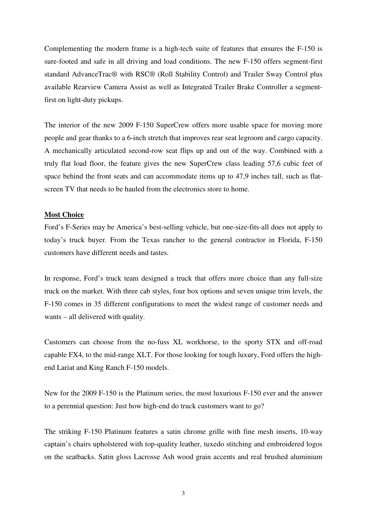Complementing the modern frame is a high-tech suite of features that ensures the F-150 is sure-footed and safe in all driving and load conditions. The new F-150 offers segment-first standard AdvanceTrac® with RSC® (Roll Stability Control) and Trailer Sway Control plus available Rearview Camera Assist as well as Integrated Trailer Brake Controller a segmentfirst on light-duty pickups.

The interior of the new 2009 F-150 SuperCrew offers more usable space for moving more people and gear thanks to a 6-inch stretch that improves rear seat legroom and cargo capacity. A mechanically articulated second-row seat flips up and out of the way. Combined with a truly flat load floor, the feature gives the new SuperCrew class leading 57,6 cubic feet of space behind the front seats and can accommodate items up to 47,9 inches tall, such as flatscreen TV that needs to be hauled from the electronics store to home.

## **Most Choice**

Ford's F-Series may be America's best-selling vehicle, but one-size-fits-all does not apply to today's truck buyer. From the Texas rancher to the general contractor in Florida, F-150 customers have different needs and tastes.

In response, Ford's truck team designed a truck that offers more choice than any full-size truck on the market. With three cab styles, four box options and seven unique trim levels, the F-150 comes in 35 different configurations to meet the widest range of customer needs and wants – all delivered with quality.

Customers can choose from the no-fuss XL workhorse, to the sporty STX and off-road capable FX4, to the mid-range XLT. For those looking for tough luxury, Ford offers the highend Lariat and King Ranch F-150 models.

New for the 2009 F-150 is the Platinum series, the most luxurious F-150 ever and the answer to a perennial question: Just how high-end do truck customers want to go?

The striking F-150 Platinum features a satin chrome grille with fine mesh inserts, 10-way captain's chairs upholstered with top-quality leather, tuxedo stitching and embroidered logos on the seatbacks. Satin gloss Lacrosse Ash wood grain accents and real brushed aluminium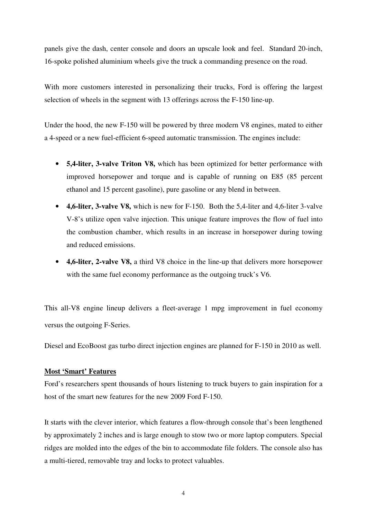panels give the dash, center console and doors an upscale look and feel. Standard 20-inch, 16-spoke polished aluminium wheels give the truck a commanding presence on the road.

With more customers interested in personalizing their trucks, Ford is offering the largest selection of wheels in the segment with 13 offerings across the F-150 line-up.

Under the hood, the new F-150 will be powered by three modern V8 engines, mated to either a 4-speed or a new fuel-efficient 6-speed automatic transmission. The engines include:

- **5,4-liter, 3-valve Triton V8,** which has been optimized for better performance with improved horsepower and torque and is capable of running on E85 (85 percent ethanol and 15 percent gasoline), pure gasoline or any blend in between.
- **4,6-liter, 3-valve V8,** which is new for F-150. Both the 5,4-liter and 4,6-liter 3-valve V-8's utilize open valve injection. This unique feature improves the flow of fuel into the combustion chamber, which results in an increase in horsepower during towing and reduced emissions.
- **4,6-liter, 2-valve V8,** a third V8 choice in the line-up that delivers more horsepower with the same fuel economy performance as the outgoing truck's V6.

This all-V8 engine lineup delivers a fleet-average 1 mpg improvement in fuel economy versus the outgoing F-Series.

Diesel and EcoBoost gas turbo direct injection engines are planned for F-150 in 2010 as well.

## **Most 'Smart' Features**

Ford's researchers spent thousands of hours listening to truck buyers to gain inspiration for a host of the smart new features for the new 2009 Ford F-150.

It starts with the clever interior, which features a flow-through console that's been lengthened by approximately 2 inches and is large enough to stow two or more laptop computers. Special ridges are molded into the edges of the bin to accommodate file folders. The console also has a multi-tiered, removable tray and locks to protect valuables.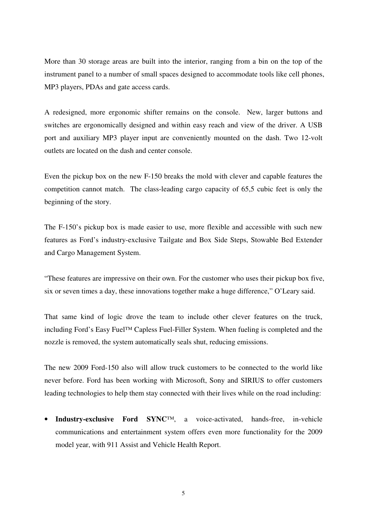More than 30 storage areas are built into the interior, ranging from a bin on the top of the instrument panel to a number of small spaces designed to accommodate tools like cell phones, MP3 players, PDAs and gate access cards.

A redesigned, more ergonomic shifter remains on the console. New, larger buttons and switches are ergonomically designed and within easy reach and view of the driver. A USB port and auxiliary MP3 player input are conveniently mounted on the dash. Two 12-volt outlets are located on the dash and center console.

Even the pickup box on the new F-150 breaks the mold with clever and capable features the competition cannot match. The class-leading cargo capacity of 65,5 cubic feet is only the beginning of the story.

The F-150's pickup box is made easier to use, more flexible and accessible with such new features as Ford's industry-exclusive Tailgate and Box Side Steps, Stowable Bed Extender and Cargo Management System.

"These features are impressive on their own. For the customer who uses their pickup box five, six or seven times a day, these innovations together make a huge difference," O'Leary said.

That same kind of logic drove the team to include other clever features on the truck, including Ford's Easy Fuel™ Capless Fuel-Filler System. When fueling is completed and the nozzle is removed, the system automatically seals shut, reducing emissions.

The new 2009 Ford-150 also will allow truck customers to be connected to the world like never before. Ford has been working with Microsoft, Sony and SIRIUS to offer customers leading technologies to help them stay connected with their lives while on the road including:

• **Industry-exclusive Ford SYNC**™, a voice-activated, hands-free, in-vehicle communications and entertainment system offers even more functionality for the 2009 model year, with 911 Assist and Vehicle Health Report.